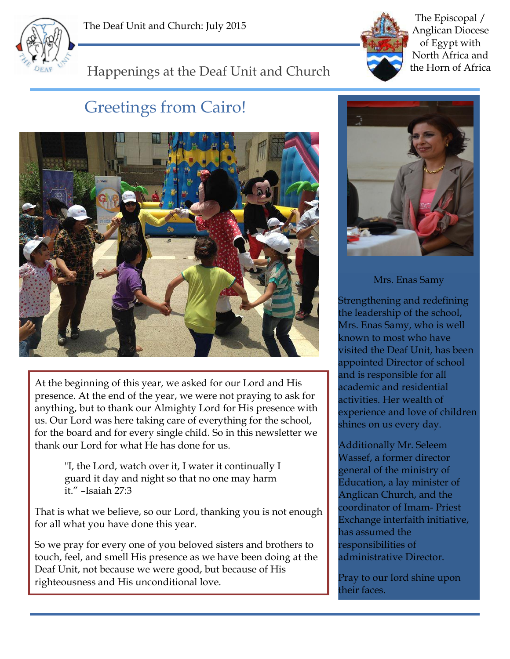



The Episcopal / Anglican Diocese of Egypt with North Africa and the Horn of Africa

## Happenings at the Deaf Unit and Church

## Greetings from Cairo!



At the beginning of this year, we asked for our Lord and His presence. At the end of the year, we were not praying to ask for anything, but to thank our Almighty Lord for His presence with us. Our Lord was here taking care of everything for the school, for the board and for every single child. So in this newsletter we thank our Lord for what He has done for us.

> "I, the Lord, watch over it, I water it continually I guard it day and night so that no one may harm it." –Isaiah 27:3

That is what we believe, so our Lord, thanking you is not enough for all what you have done this year.

So we pray for every one of you beloved sisters and brothers to touch, feel, and smell His presence as we have been doing at the Deaf Unit, not because we were good, but because of His righteousness and His unconditional love.



Mrs. Enas Samy

Strengthening and redefining the leadership of the school, Mrs. Enas Samy, who is well known to most who have visited the Deaf Unit, has been appointed Director of school and is responsible for all academic and residential activities. Her wealth of experience and love of children shines on us every day.

Additionally Mr. Seleem Wassef, a former director general of the ministry of Education, a lay minister of Anglican Church, and the coordinator of Imam- Priest Exchange interfaith initiative, has assumed the responsibilities of administrative Director.

Pray to our lord shine upon their faces.